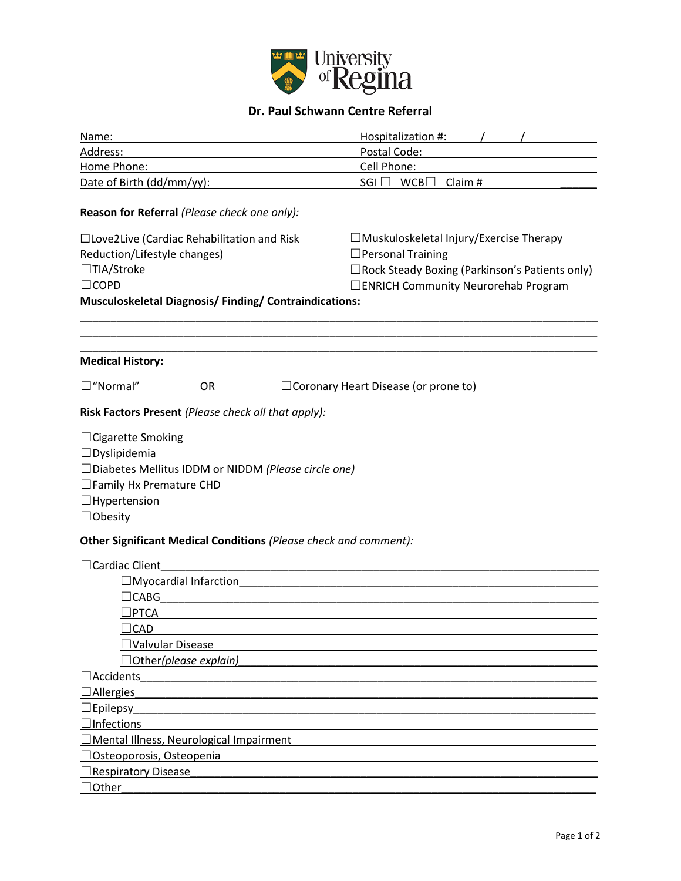

## **Dr. Paul Schwann Centre Referral**

| Name:                                                                                                                                                                         |           | Hospitalization #:                                                                                                                                                     |  |  |  |  |  |  |
|-------------------------------------------------------------------------------------------------------------------------------------------------------------------------------|-----------|------------------------------------------------------------------------------------------------------------------------------------------------------------------------|--|--|--|--|--|--|
| Address:                                                                                                                                                                      |           | Postal Code:                                                                                                                                                           |  |  |  |  |  |  |
| Home Phone:                                                                                                                                                                   |           | Cell Phone:                                                                                                                                                            |  |  |  |  |  |  |
| Date of Birth (dd/mm/yy):                                                                                                                                                     |           | $SGI \Box WCB \Box Claim #$                                                                                                                                            |  |  |  |  |  |  |
| Reason for Referral (Please check one only):                                                                                                                                  |           |                                                                                                                                                                        |  |  |  |  |  |  |
| □Love2Live (Cardiac Rehabilitation and Risk<br>Reduction/Lifestyle changes)<br>□TIA/Stroke<br>$\Box$ COPD<br><b>Musculoskeletal Diagnosis/Finding/Contraindications:</b>      |           | $\Box$ Muskuloskeletal Injury/Exercise Therapy<br>$\Box$ Personal Training<br>□ Rock Steady Boxing (Parkinson's Patients only)<br>□ENRICH Community Neurorehab Program |  |  |  |  |  |  |
| <b>Medical History:</b>                                                                                                                                                       |           |                                                                                                                                                                        |  |  |  |  |  |  |
| $\square$ "Normal"                                                                                                                                                            | <b>OR</b> | $\Box$ Coronary Heart Disease (or prone to)                                                                                                                            |  |  |  |  |  |  |
| Risk Factors Present (Please check all that apply):                                                                                                                           |           |                                                                                                                                                                        |  |  |  |  |  |  |
| $\Box$ Cigarette Smoking<br>$\Box$ Dyslipidemia<br>□Diabetes Mellitus IDDM or NIDDM (Please circle one)<br>□ Family Hx Premature CHD<br>$\Box$ Hypertension<br>$\Box$ Obesity |           |                                                                                                                                                                        |  |  |  |  |  |  |
| Other Significant Medical Conditions (Please check and comment):                                                                                                              |           |                                                                                                                                                                        |  |  |  |  |  |  |
| <b>Cardiac Client</b><br>Myocardial Infarction                                                                                                                                |           |                                                                                                                                                                        |  |  |  |  |  |  |
| $\exists$ CABG                                                                                                                                                                |           |                                                                                                                                                                        |  |  |  |  |  |  |
| rctan                                                                                                                                                                         |           |                                                                                                                                                                        |  |  |  |  |  |  |
| $\Box$ CAD                                                                                                                                                                    |           |                                                                                                                                                                        |  |  |  |  |  |  |
| Valvular Disease                                                                                                                                                              |           |                                                                                                                                                                        |  |  |  |  |  |  |
| Other <i>(please explain)</i>                                                                                                                                                 |           |                                                                                                                                                                        |  |  |  |  |  |  |
| <b>Accidents</b>                                                                                                                                                              |           |                                                                                                                                                                        |  |  |  |  |  |  |
| Allergies                                                                                                                                                                     |           |                                                                                                                                                                        |  |  |  |  |  |  |
| <b>Epilepsy</b>                                                                                                                                                               |           |                                                                                                                                                                        |  |  |  |  |  |  |
| <b>Infections</b>                                                                                                                                                             |           |                                                                                                                                                                        |  |  |  |  |  |  |
| Mental Illness, Neurological Impairment                                                                                                                                       |           |                                                                                                                                                                        |  |  |  |  |  |  |
| Osteoporosis, Osteopenia                                                                                                                                                      |           |                                                                                                                                                                        |  |  |  |  |  |  |
| <b>Respiratory Disease</b>                                                                                                                                                    |           |                                                                                                                                                                        |  |  |  |  |  |  |
| Other                                                                                                                                                                         |           |                                                                                                                                                                        |  |  |  |  |  |  |